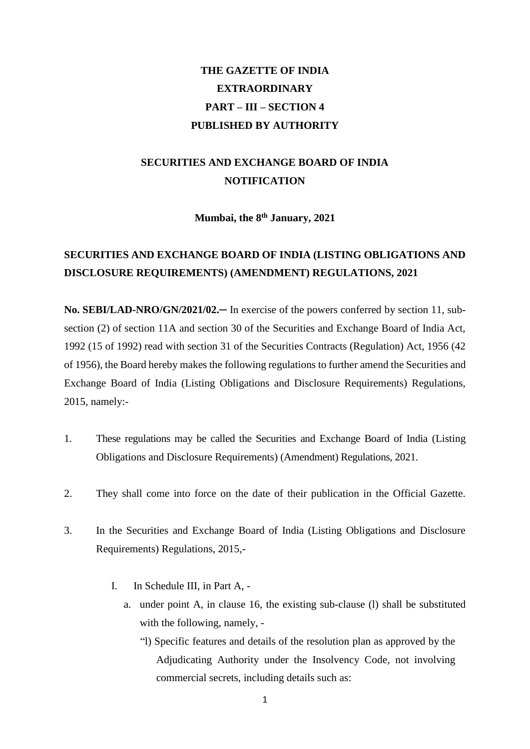# **THE GAZETTE OF INDIA EXTRAORDINARY PART – III – SECTION 4 PUBLISHED BY AUTHORITY**

## **SECURITIES AND EXCHANGE BOARD OF INDIA NOTIFICATION**

**Mumbai, the 8 th January, 2021**

### **SECURITIES AND EXCHANGE BOARD OF INDIA (LISTING OBLIGATIONS AND DISCLOSURE REQUIREMENTS) (AMENDMENT) REGULATIONS, 2021**

**No. SEBI/LAD-NRO/GN/2021/02.**─ In exercise of the powers conferred by section 11, subsection (2) of section 11A and section 30 of the Securities and Exchange Board of India Act, 1992 (15 of 1992) read with section 31 of the Securities Contracts (Regulation) Act, 1956 (42 of 1956), the Board hereby makes the following regulations to further amend the Securities and Exchange Board of India (Listing Obligations and Disclosure Requirements) Regulations, 2015, namely:-

- 1. These regulations may be called the Securities and Exchange Board of India (Listing Obligations and Disclosure Requirements) (Amendment) Regulations, 2021.
- 2. They shall come into force on the date of their publication in the Official Gazette.
- 3. In the Securities and Exchange Board of India (Listing Obligations and Disclosure Requirements) Regulations, 2015,-
	- I. In Schedule III, in Part A,
		- a. under point A, in clause 16, the existing sub-clause (l) shall be substituted with the following, namely, -
			- "l) Specific features and details of the resolution plan as approved by the Adjudicating Authority under the Insolvency Code, not involving commercial secrets, including details such as: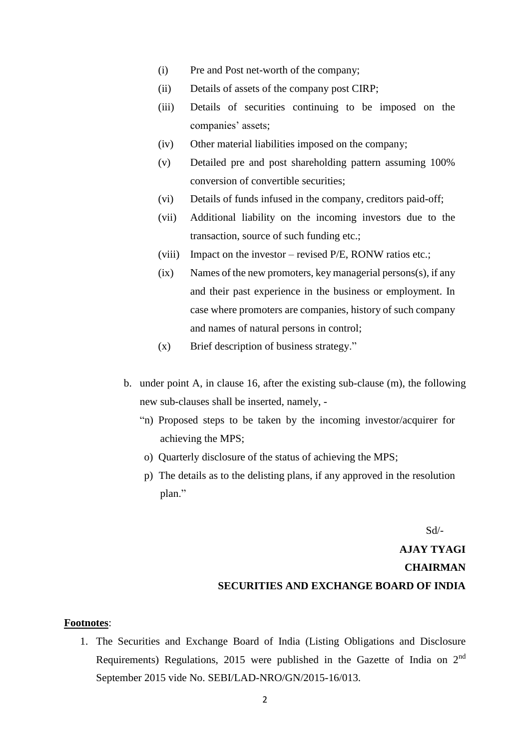- (i) Pre and Post net-worth of the company;
- (ii) Details of assets of the company post CIRP;
- (iii) Details of securities continuing to be imposed on the companies' assets;
- (iv) Other material liabilities imposed on the company;
- (v) Detailed pre and post shareholding pattern assuming 100% conversion of convertible securities;
- (vi) Details of funds infused in the company, creditors paid-off;
- (vii) Additional liability on the incoming investors due to the transaction, source of such funding etc.;
- (viii) Impact on the investor revised P/E, RONW ratios etc.;
- (ix) Names of the new promoters, key managerial persons(s), if any and their past experience in the business or employment. In case where promoters are companies, history of such company and names of natural persons in control;
- (x) Brief description of business strategy."
- b. under point A, in clause 16, after the existing sub-clause (m), the following new sub-clauses shall be inserted, namely, -
	- "n) Proposed steps to be taken by the incoming investor/acquirer for achieving the MPS;
	- o) Quarterly disclosure of the status of achieving the MPS;
	- p) The details as to the delisting plans, if any approved in the resolution plan."

Sd/-

## **AJAY TYAGI CHAIRMAN SECURITIES AND EXCHANGE BOARD OF INDIA**

#### **Footnotes**:

1. The Securities and Exchange Board of India (Listing Obligations and Disclosure Requirements) Regulations, 2015 were published in the Gazette of India on 2nd September 2015 vide No. SEBI/LAD-NRO/GN/2015-16/013.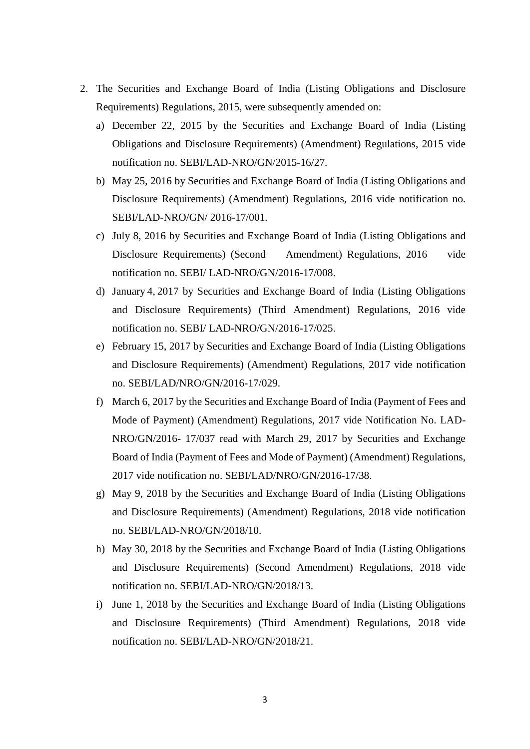- 2. The Securities and Exchange Board of India (Listing Obligations and Disclosure Requirements) Regulations, 2015, were subsequently amended on:
	- a) December 22, 2015 by the Securities and Exchange Board of India (Listing Obligations and Disclosure Requirements) (Amendment) Regulations, 2015 vide notification no. SEBI/LAD-NRO/GN/2015-16/27.
	- b) May 25, 2016 by Securities and Exchange Board of India (Listing Obligations and Disclosure Requirements) (Amendment) Regulations, 2016 vide notification no. SEBI/LAD-NRO/GN/ 2016-17/001.
	- c) July 8, 2016 by Securities and Exchange Board of India (Listing Obligations and Disclosure Requirements) (Second Amendment) Regulations, 2016 vide notification no. SEBI/ LAD-NRO/GN/2016-17/008.
	- d) January 4, 2017 by Securities and Exchange Board of India (Listing Obligations and Disclosure Requirements) (Third Amendment) Regulations, 2016 vide notification no. SEBI/ LAD-NRO/GN/2016-17/025.
	- e) February 15, 2017 by Securities and Exchange Board of India (Listing Obligations and Disclosure Requirements) (Amendment) Regulations, 2017 vide notification no. SEBI/LAD/NRO/GN/2016-17/029.
	- f) March 6, 2017 by the Securities and Exchange Board of India (Payment of Fees and Mode of Payment) (Amendment) Regulations, 2017 vide Notification No. LAD-NRO/GN/2016- 17/037 read with March 29, 2017 by Securities and Exchange Board of India (Payment of Fees and Mode of Payment) (Amendment) Regulations, 2017 vide notification no. SEBI/LAD/NRO/GN/2016-17/38.
	- g) May 9, 2018 by the Securities and Exchange Board of India (Listing Obligations and Disclosure Requirements) (Amendment) Regulations, 2018 vide notification no. SEBI/LAD-NRO/GN/2018/10.
	- h) May 30, 2018 by the Securities and Exchange Board of India (Listing Obligations and Disclosure Requirements) (Second Amendment) Regulations, 2018 vide notification no. SEBI/LAD-NRO/GN/2018/13.
	- i) June 1, 2018 by the Securities and Exchange Board of India (Listing Obligations and Disclosure Requirements) (Third Amendment) Regulations, 2018 vide notification no. SEBI/LAD-NRO/GN/2018/21.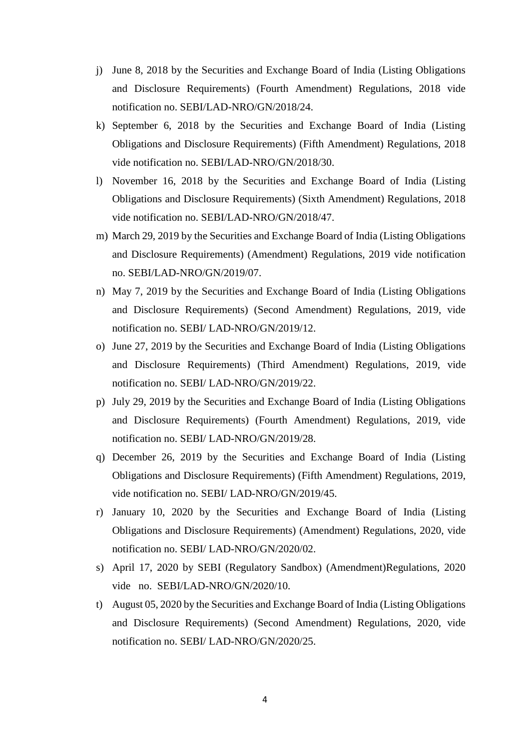- j) June 8, 2018 by the Securities and Exchange Board of India (Listing Obligations and Disclosure Requirements) (Fourth Amendment) Regulations, 2018 vide notification no. SEBI/LAD-NRO/GN/2018/24.
- k) September 6, 2018 by the Securities and Exchange Board of India (Listing Obligations and Disclosure Requirements) (Fifth Amendment) Regulations, 2018 vide notification no. SEBI/LAD-NRO/GN/2018/30.
- l) November 16, 2018 by the Securities and Exchange Board of India (Listing Obligations and Disclosure Requirements) (Sixth Amendment) Regulations, 2018 vide notification no. SEBI/LAD-NRO/GN/2018/47.
- m) March 29, 2019 by the Securities and Exchange Board of India (Listing Obligations and Disclosure Requirements) (Amendment) Regulations, 2019 vide notification no. SEBI/LAD-NRO/GN/2019/07.
- n) May 7, 2019 by the Securities and Exchange Board of India (Listing Obligations and Disclosure Requirements) (Second Amendment) Regulations, 2019, vide notification no. SEBI/ LAD-NRO/GN/2019/12.
- o) June 27, 2019 by the Securities and Exchange Board of India (Listing Obligations and Disclosure Requirements) (Third Amendment) Regulations, 2019, vide notification no. SEBI/ LAD-NRO/GN/2019/22.
- p) July 29, 2019 by the Securities and Exchange Board of India (Listing Obligations and Disclosure Requirements) (Fourth Amendment) Regulations, 2019, vide notification no. SEBI/ LAD-NRO/GN/2019/28.
- q) December 26, 2019 by the Securities and Exchange Board of India (Listing Obligations and Disclosure Requirements) (Fifth Amendment) Regulations, 2019, vide notification no. SEBI/ LAD-NRO/GN/2019/45.
- r) January 10, 2020 by the Securities and Exchange Board of India (Listing Obligations and Disclosure Requirements) (Amendment) Regulations, 2020, vide notification no. SEBI/ LAD-NRO/GN/2020/02.
- s) April 17, 2020 by SEBI (Regulatory Sandbox) (Amendment)Regulations, 2020 vide no. SEBI/LAD-NRO/GN/2020/10.
- t) August 05, 2020 by the Securities and Exchange Board of India (Listing Obligations and Disclosure Requirements) (Second Amendment) Regulations, 2020, vide notification no. SEBI/ LAD-NRO/GN/2020/25.